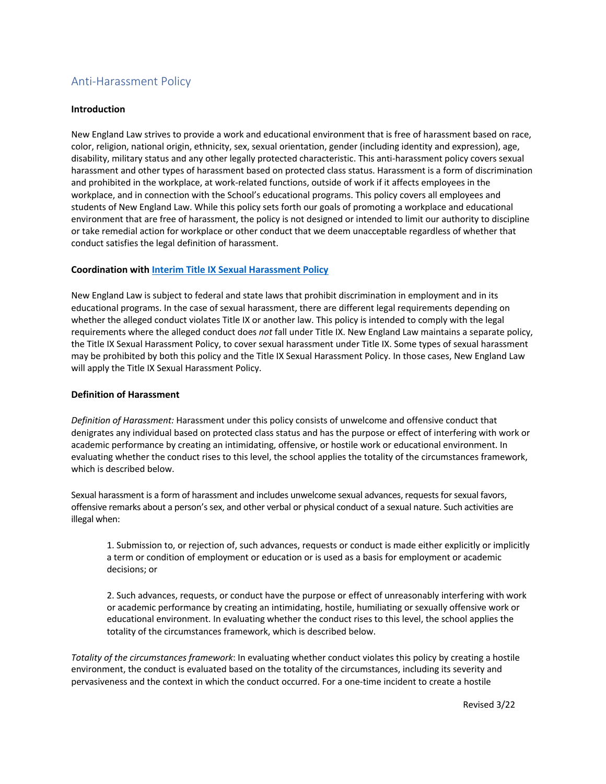# Anti-Harassment Policy

### **Introduction**

New England Law strives to provide a work and educational environment that is free of harassment based on race, color, religion, national origin, ethnicity, sex, sexual orientation, gender (including identity and expression), age, disability, military status and any other legally protected characteristic. This anti-harassment policy covers sexual harassment and other types of harassment based on protected class status. Harassment is a form of discrimination and prohibited in the workplace, at work-related functions, outside of work if it affects employees in the workplace, and in connection with the School's educational programs. This policy covers all employees and students of New England Law. While this policy sets forth our goals of promoting a workplace and educational environment that are free of harassment, the policy is not designed or intended to limit our authority to discipline or take remedial action for workplace or other conduct that we deem unacceptable regardless of whether that conduct satisfies the legal definition of harassment.

## **Coordination with Interim Title IX Sexual Harassment Policy**

New England Law is subject to federal and state laws that prohibit discrimination in employment and in its educational programs. In the case of sexual harassment, there are different legal requirements depending on whether the alleged conduct violates Title IX or another law. This policy is intended to comply with the legal requirements where the alleged conduct does *not* fall under Title IX. New England Law maintains a separate policy, the Title IX Sexual Harassment Policy, to cover sexual harassment under Title IX. Some types of sexual harassment may be prohibited by both this policy and the Title IX Sexual Harassment Policy. In those cases, New England Law will apply the Title IX Sexual Harassment Policy.

### **Definition of Harassment**

*Definition of Harassment:* Harassment under this policy consists of unwelcome and offensive conduct that denigrates any individual based on protected class status and has the purpose or effect of interfering with work or academic performance by creating an intimidating, offensive, or hostile work or educational environment. In evaluating whether the conduct rises to this level, the school applies the totality of the circumstances framework, which is described below.

Sexual harassment is a form of harassment and includes unwelcome sexual advances, requests for sexual favors, offensive remarks about a person's sex, and other verbal or physical conduct of a sexual nature. Such activities are illegal when:

1. Submission to, or rejection of, such advances, requests or conduct is made either explicitly or implicitly a term or condition of employment or education or is used as a basis for employment or academic decisions; or

2. Such advances, requests, or conduct have the purpose or effect of unreasonably interfering with work or academic performance by creating an intimidating, hostile, humiliating or sexually offensive work or educational environment. In evaluating whether the conduct rises to this level, the school applies the totality of the circumstances framework, which is described below.

*Totality of the circumstances framework*: In evaluating whether conduct violates this policy by creating a hostile environment, the conduct is evaluated based on the totality of the circumstances, including its severity and pervasiveness and the context in which the conduct occurred. For a one-time incident to create a hostile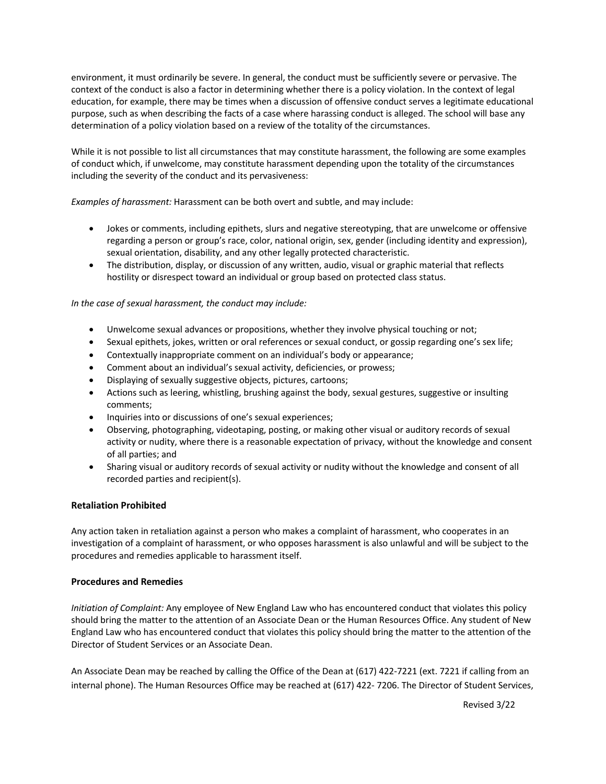environment, it must ordinarily be severe. In general, the conduct must be sufficiently severe or pervasive. The context of the conduct is also a factor in determining whether there is a policy violation. In the context of legal education, for example, there may be times when a discussion of offensive conduct serves a legitimate educational purpose, such as when describing the facts of a case where harassing conduct is alleged. The school will base any determination of a policy violation based on a review of the totality of the circumstances.

While it is not possible to list all circumstances that may constitute harassment, the following are some examples of conduct which, if unwelcome, may constitute harassment depending upon the totality of the circumstances including the severity of the conduct and its pervasiveness:

*Examples of harassment:* Harassment can be both overt and subtle, and may include:

- Jokes or comments, including epithets, slurs and negative stereotyping, that are unwelcome or offensive regarding a person or group's race, color, national origin, sex, gender (including identity and expression), sexual orientation, disability, and any other legally protected characteristic.
- The distribution, display, or discussion of any written, audio, visual or graphic material that reflects hostility or disrespect toward an individual or group based on protected class status.

## *In the case of sexual harassment, the conduct may include:*

- Unwelcome sexual advances or propositions, whether they involve physical touching or not;
- Sexual epithets, jokes, written or oral references or sexual conduct, or gossip regarding one's sex life;
- Contextually inappropriate comment on an individual's body or appearance;
- Comment about an individual's sexual activity, deficiencies, or prowess;
- Displaying of sexually suggestive objects, pictures, cartoons;
- Actions such as leering, whistling, brushing against the body, sexual gestures, suggestive or insulting comments;
- Inquiries into or discussions of one's sexual experiences;
- Observing, photographing, videotaping, posting, or making other visual or auditory records of sexual activity or nudity, where there is a reasonable expectation of privacy, without the knowledge and consent of all parties; and
- Sharing visual or auditory records of sexual activity or nudity without the knowledge and consent of all recorded parties and recipient(s).

### **Retaliation Prohibited**

Any action taken in retaliation against a person who makes a complaint of harassment, who cooperates in an investigation of a complaint of harassment, or who opposes harassment is also unlawful and will be subject to the procedures and remedies applicable to harassment itself.

### **Procedures and Remedies**

*Initiation of Complaint:* Any employee of New England Law who has encountered conduct that violates this policy should bring the matter to the attention of an Associate Dean or the Human Resources Office. Any student of New England Law who has encountered conduct that violates this policy should bring the matter to the attention of the Director of Student Services or an Associate Dean.

An Associate Dean may be reached by calling the Office of the Dean at (617) 422-7221 (ext. 7221 if calling from an internal phone). The Human Resources Office may be reached at (617) 422- 7206. The Director of Student Services,

Revised 3/22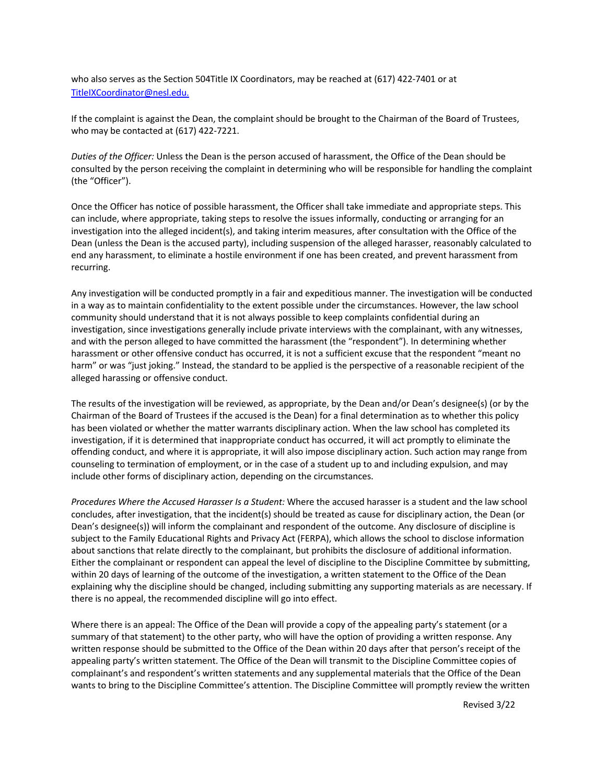who also serves as the Section 504Title IX Coordinators, may be reached at (617) 422-7401 or at TitleIXCoordinator@nesl.edu.

If the complaint is against the Dean, the complaint should be brought to the Chairman of the Board of Trustees, who may be contacted at (617) 422-7221.

*Duties of the Officer:* Unless the Dean is the person accused of harassment, the Office of the Dean should be consulted by the person receiving the complaint in determining who will be responsible for handling the complaint (the "Officer").

Once the Officer has notice of possible harassment, the Officer shall take immediate and appropriate steps. This can include, where appropriate, taking steps to resolve the issues informally, conducting or arranging for an investigation into the alleged incident(s), and taking interim measures, after consultation with the Office of the Dean (unless the Dean is the accused party), including suspension of the alleged harasser, reasonably calculated to end any harassment, to eliminate a hostile environment if one has been created, and prevent harassment from recurring.

Any investigation will be conducted promptly in a fair and expeditious manner. The investigation will be conducted in a way as to maintain confidentiality to the extent possible under the circumstances. However, the law school community should understand that it is not always possible to keep complaints confidential during an investigation, since investigations generally include private interviews with the complainant, with any witnesses, and with the person alleged to have committed the harassment (the "respondent"). In determining whether harassment or other offensive conduct has occurred, it is not a sufficient excuse that the respondent "meant no harm" or was "just joking." Instead, the standard to be applied is the perspective of a reasonable recipient of the alleged harassing or offensive conduct.

The results of the investigation will be reviewed, as appropriate, by the Dean and/or Dean's designee(s) (or by the Chairman of the Board of Trustees if the accused is the Dean) for a final determination as to whether this policy has been violated or whether the matter warrants disciplinary action. When the law school has completed its investigation, if it is determined that inappropriate conduct has occurred, it will act promptly to eliminate the offending conduct, and where it is appropriate, it will also impose disciplinary action. Such action may range from counseling to termination of employment, or in the case of a student up to and including expulsion, and may include other forms of disciplinary action, depending on the circumstances.

*Procedures Where the Accused Harasser Is a Student:* Where the accused harasser is a student and the law school concludes, after investigation, that the incident(s) should be treated as cause for disciplinary action, the Dean (or Dean's designee(s)) will inform the complainant and respondent of the outcome. Any disclosure of discipline is subject to the Family Educational Rights and Privacy Act (FERPA), which allows the school to disclose information about sanctions that relate directly to the complainant, but prohibits the disclosure of additional information. Either the complainant or respondent can appeal the level of discipline to the Discipline Committee by submitting, within 20 days of learning of the outcome of the investigation, a written statement to the Office of the Dean explaining why the discipline should be changed, including submitting any supporting materials as are necessary. If there is no appeal, the recommended discipline will go into effect.

Where there is an appeal: The Office of the Dean will provide a copy of the appealing party's statement (or a summary of that statement) to the other party, who will have the option of providing a written response. Any written response should be submitted to the Office of the Dean within 20 days after that person's receipt of the appealing party's written statement. The Office of the Dean will transmit to the Discipline Committee copies of complainant's and respondent's written statements and any supplemental materials that the Office of the Dean wants to bring to the Discipline Committee's attention. The Discipline Committee will promptly review the written